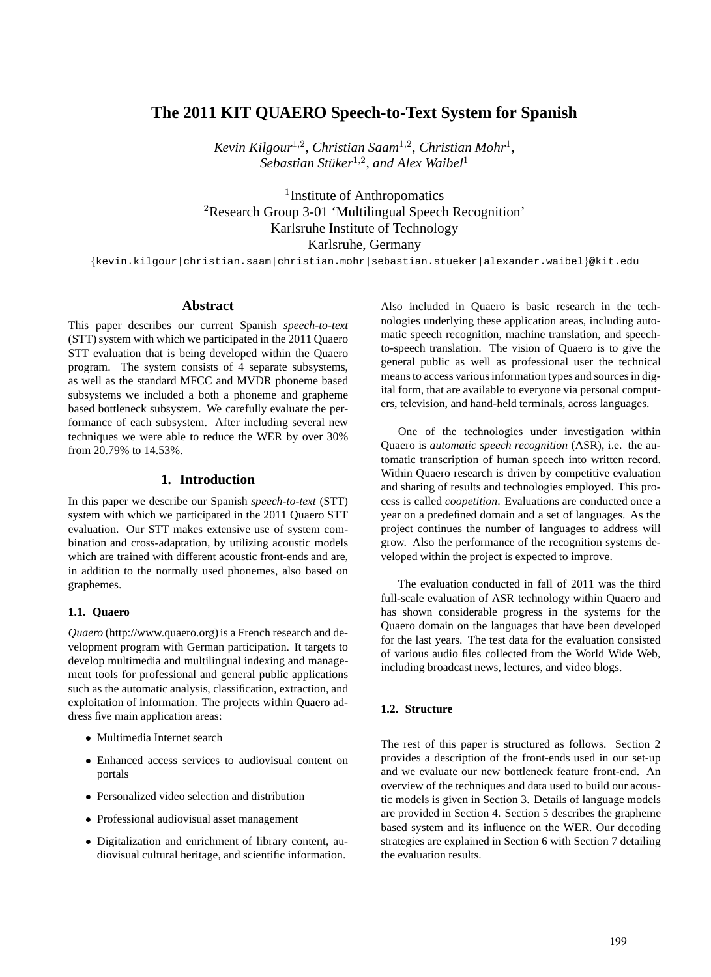# **The 2011 KIT QUAERO Speech-to-Text System for Spanish**

Kevin Kilgour<sup>1,2</sup>, Christian Saam<sup>1,2</sup>, Christian Mohr<sup>1</sup>,  $\tilde{\textit{Se}}$  *bastian Stüker*<sup>1,2</sup>, and Alex Waibel<sup>1</sup>

<sup>1</sup> Institute of Anthropomatics <sup>2</sup>Research Group 3-01 'Multilingual Speech Recognition' Karlsruhe Institute of Technology Karlsruhe, Germany

{kevin.kilgour|christian.saam|christian.mohr|sebastian.stueker|alexander.waibel}@kit.edu

#### **Abstract**

This paper describes our current Spanish *speech-to-text* (STT) system with which we participated in the 2011 Quaero STT evaluation that is being developed within the Quaero program. The system consists of 4 separate subsystems, as well as the standard MFCC and MVDR phoneme based subsystems we included a both a phoneme and grapheme based bottleneck subsystem. We carefully evaluate the performance of each subsystem. After including several new techniques we were able to reduce the WER by over 30% from 20.79% to 14.53%.

# **1. Introduction**

In this paper we describe our Spanish *speech-to-text* (STT) system with which we participated in the 2011 Quaero STT evaluation. Our STT makes extensive use of system combination and cross-adaptation, by utilizing acoustic models which are trained with different acoustic front-ends and are, in addition to the normally used phonemes, also based on graphemes.

### **1.1. Quaero**

*Quaero* (http://www.quaero.org) is a French research and development program with German participation. It targets to develop multimedia and multilingual indexing and management tools for professional and general public applications such as the automatic analysis, classification, extraction, and exploitation of information. The projects within Quaero address five main application areas:

- Multimedia Internet search
- Enhanced access services to audiovisual content on portals
- Personalized video selection and distribution
- Professional audiovisual asset management
- Digitalization and enrichment of library content, audiovisual cultural heritage, and scientific information.

Also included in Quaero is basic research in the technologies underlying these application areas, including automatic speech recognition, machine translation, and speechto-speech translation. The vision of Quaero is to give the general public as well as professional user the technical means to access various information types and sources in digital form, that are available to everyone via personal computers, television, and hand-held terminals, across languages.

One of the technologies under investigation within Quaero is *automatic speech recognition* (ASR), i.e. the automatic transcription of human speech into written record. Within Quaero research is driven by competitive evaluation and sharing of results and technologies employed. This process is called *coopetition*. Evaluations are conducted once a year on a predefined domain and a set of languages. As the project continues the number of languages to address will grow. Also the performance of the recognition systems developed within the project is expected to improve.

The evaluation conducted in fall of 2011 was the third full-scale evaluation of ASR technology within Quaero and has shown considerable progress in the systems for the Quaero domain on the languages that have been developed for the last years. The test data for the evaluation consisted of various audio files collected from the World Wide Web, including broadcast news, lectures, and video blogs.

### **1.2. Structure**

The rest of this paper is structured as follows. Section 2 provides a description of the front-ends used in our set-up and we evaluate our new bottleneck feature front-end. An overview of the techniques and data used to build our acoustic models is given in Section 3. Details of language models are provided in Section 4. Section 5 describes the grapheme based system and its influence on the WER. Our decoding strategies are explained in Section 6 with Section 7 detailing the evaluation results.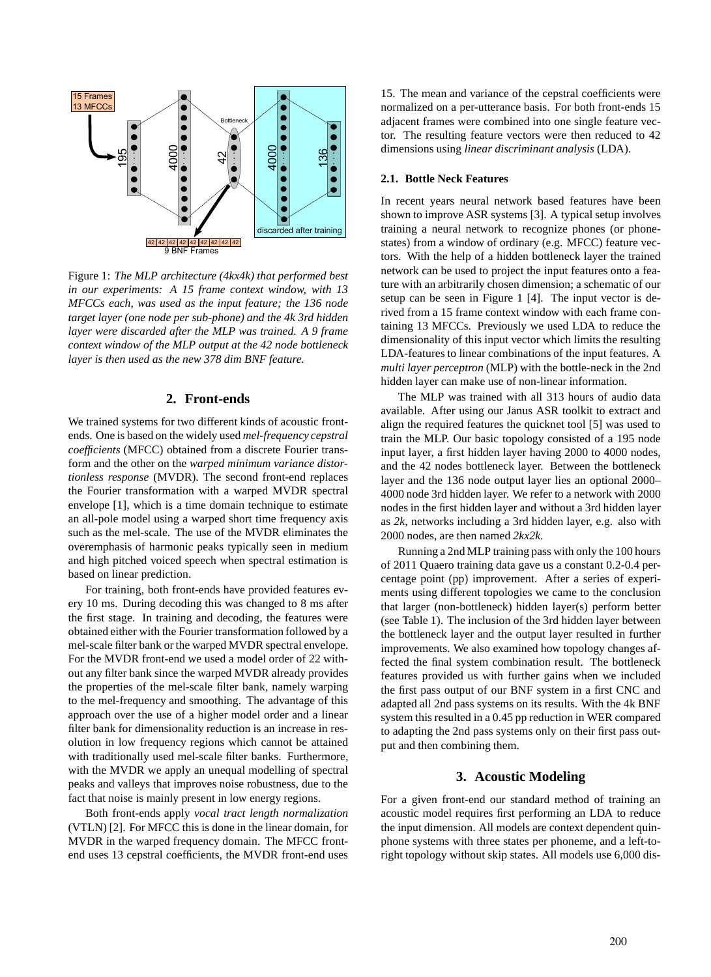

Figure 1: *The MLP architecture (4kx4k) that performed best in our experiments: A 15 frame context window, with 13 MFCCs each, was used as the input feature; the 136 node target layer (one node per sub-phone) and the 4k 3rd hidden layer were discarded after the MLP was trained. A 9 frame context window of the MLP output at the 42 node bottleneck layer is then used as the new 378 dim BNF feature.*

### **2. Front-ends**

We trained systems for two different kinds of acoustic frontends. One is based on the widely used *mel-frequency cepstral coefficients* (MFCC) obtained from a discrete Fourier transform and the other on the *warped minimum variance distortionless response* (MVDR). The second front-end replaces the Fourier transformation with a warped MVDR spectral envelope [1], which is a time domain technique to estimate an all-pole model using a warped short time frequency axis such as the mel-scale. The use of the MVDR eliminates the overemphasis of harmonic peaks typically seen in medium and high pitched voiced speech when spectral estimation is based on linear prediction.

For training, both front-ends have provided features every 10 ms. During decoding this was changed to 8 ms after the first stage. In training and decoding, the features were obtained either with the Fourier transformation followed by a mel-scale filter bank or the warped MVDR spectral envelope. For the MVDR front-end we used a model order of 22 without any filter bank since the warped MVDR already provides the properties of the mel-scale filter bank, namely warping to the mel-frequency and smoothing. The advantage of this approach over the use of a higher model order and a linear filter bank for dimensionality reduction is an increase in resolution in low frequency regions which cannot be attained with traditionally used mel-scale filter banks. Furthermore, with the MVDR we apply an unequal modelling of spectral peaks and valleys that improves noise robustness, due to the fact that noise is mainly present in low energy regions.

Both front-ends apply *vocal tract length normalization* (VTLN) [2]. For MFCC this is done in the linear domain, for MVDR in the warped frequency domain. The MFCC frontend uses 13 cepstral coefficients, the MVDR front-end uses

15. The mean and variance of the cepstral coefficients were normalized on a per-utterance basis. For both front-ends 15 adjacent frames were combined into one single feature vector. The resulting feature vectors were then reduced to 42 dimensions using *linear discriminant analysis* (LDA).

#### **2.1. Bottle Neck Features**

In recent years neural network based features have been shown to improve ASR systems [3]. A typical setup involves training a neural network to recognize phones (or phonestates) from a window of ordinary (e.g. MFCC) feature vectors. With the help of a hidden bottleneck layer the trained network can be used to project the input features onto a feature with an arbitrarily chosen dimension; a schematic of our setup can be seen in Figure 1 [4]. The input vector is derived from a 15 frame context window with each frame containing 13 MFCCs. Previously we used LDA to reduce the dimensionality of this input vector which limits the resulting LDA-features to linear combinations of the input features. A *multi layer perceptron* (MLP) with the bottle-neck in the 2nd hidden layer can make use of non-linear information.

The MLP was trained with all 313 hours of audio data available. After using our Janus ASR toolkit to extract and align the required features the quicknet tool [5] was used to train the MLP. Our basic topology consisted of a 195 node input layer, a first hidden layer having 2000 to 4000 nodes, and the 42 nodes bottleneck layer. Between the bottleneck layer and the 136 node output layer lies an optional 2000– 4000 node 3rd hidden layer. We refer to a network with 2000 nodes in the first hidden layer and without a 3rd hidden layer as *2k*, networks including a 3rd hidden layer, e.g. also with 2000 nodes, are then named *2kx2k*.

Running a 2nd MLP training pass with only the 100 hours of 2011 Quaero training data gave us a constant 0.2-0.4 percentage point (pp) improvement. After a series of experiments using different topologies we came to the conclusion that larger (non-bottleneck) hidden layer(s) perform better (see Table 1). The inclusion of the 3rd hidden layer between the bottleneck layer and the output layer resulted in further improvements. We also examined how topology changes affected the final system combination result. The bottleneck features provided us with further gains when we included the first pass output of our BNF system in a first CNC and adapted all 2nd pass systems on its results. With the 4k BNF system this resulted in a 0.45 pp reduction in WER compared to adapting the 2nd pass systems only on their first pass output and then combining them.

#### **3. Acoustic Modeling**

For a given front-end our standard method of training an acoustic model requires first performing an LDA to reduce the input dimension. All models are context dependent quinphone systems with three states per phoneme, and a left-toright topology without skip states. All models use 6,000 dis-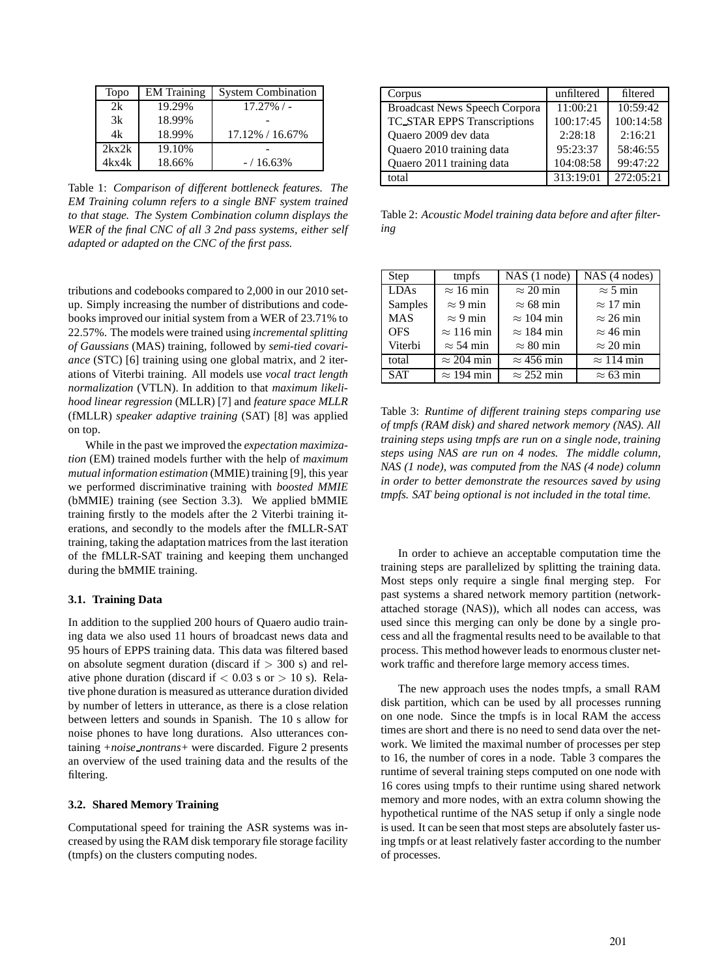| Topo  | <b>EM</b> Training | <b>System Combination</b> |
|-------|--------------------|---------------------------|
| 2k    | 19.29%             | $17.27\%$ / -             |
| 3k    | 18.99%             |                           |
| 4k    | 18.99%             | 17.12% / 16.67%           |
| 2kx2k | 19.10%             |                           |
| 4kx4k | 18.66%             | $-$ / 16.63%              |

Table 1: *Comparison of different bottleneck features. The EM Training column refers to a single BNF system trained to that stage. The System Combination column displays the WER of the final CNC of all 3 2nd pass systems, either self adapted or adapted on the CNC of the first pass.*

tributions and codebooks compared to 2,000 in our 2010 setup. Simply increasing the number of distributions and codebooks improved our initial system from a WER of 23.71% to 22.57%. The models were trained using *incremental splitting of Gaussians* (MAS) training, followed by *semi-tied covariance* (STC) [6] training using one global matrix, and 2 iterations of Viterbi training. All models use *vocal tract length normalization* (VTLN). In addition to that *maximum likelihood linear regression* (MLLR) [7] and *feature space MLLR* (fMLLR) *speaker adaptive training* (SAT) [8] was applied on top.

While in the past we improved the *expectation maximization* (EM) trained models further with the help of *maximum mutual information estimation* (MMIE) training [9], this year we performed discriminative training with *boosted MMIE* (bMMIE) training (see Section 3.3). We applied bMMIE training firstly to the models after the 2 Viterbi training iterations, and secondly to the models after the fMLLR-SAT training, taking the adaptation matrices from the last iteration of the fMLLR-SAT training and keeping them unchanged during the bMMIE training.

### **3.1. Training Data**

In addition to the supplied 200 hours of Quaero audio training data we also used 11 hours of broadcast news data and 95 hours of EPPS training data. This data was filtered based on absolute segment duration (discard if  $>$  300 s) and relative phone duration (discard if  $< 0.03$  s or  $> 10$  s). Relative phone duration is measured as utterance duration divided by number of letters in utterance, as there is a close relation between letters and sounds in Spanish. The 10 s allow for noise phones to have long durations. Also utterances containing *+noise nontrans+* were discarded. Figure 2 presents an overview of the used training data and the results of the filtering.

### **3.2. Shared Memory Training**

Computational speed for training the ASR systems was increased by using the RAM disk temporary file storage facility (tmpfs) on the clusters computing nodes.

| Corpus                               | unfiltered | filtered  |
|--------------------------------------|------------|-----------|
| <b>Broadcast News Speech Corpora</b> | 11:00:21   | 10:59:42  |
| <b>TC_STAR EPPS Transcriptions</b>   | 100:17:45  | 100:14:58 |
| Quaero 2009 dev data                 | 2:28:18    | 2:16:21   |
| Quaero 2010 training data            | 95:23:37   | 58:46:55  |
| Quaero 2011 training data            | 104:08:58  | 99:47:22  |
| total                                | 313:19:01  | 272:05:21 |

Table 2: *Acoustic Model training data before and after filtering*

| Step        | tmpfs                    | NAS(1 node)       | $NAS$ (4 nodes)   |
|-------------|--------------------------|-------------------|-------------------|
| <b>LDAs</b> | $\approx 16 \text{ min}$ | $\approx$ 20 min  | $\approx$ 5 min   |
| Samples     | $\approx$ 9 min          | $\approx 68$ min  | $\approx$ 17 min  |
| <b>MAS</b>  | $\approx$ 9 min          | $\approx 104$ min | $\approx$ 26 min  |
| <b>OFS</b>  | $\approx$ 116 min        | $\approx$ 184 min | $\approx$ 46 min  |
| Viterbi     | $\approx$ 54 min         | $\approx 80$ min  | $\approx$ 20 min  |
| total       | $\approx$ 204 min        | $\approx$ 456 min | $\approx$ 114 min |
| <b>SAT</b>  | $\approx$ 194 min        | $\approx$ 252 min | $\approx 63$ min  |

Table 3: *Runtime of different training steps comparing use of tmpfs (RAM disk) and shared network memory (NAS). All training steps using tmpfs are run on a single node, training steps using NAS are run on 4 nodes. The middle column, NAS (1 node), was computed from the NAS (4 node) column in order to better demonstrate the resources saved by using tmpfs. SAT being optional is not included in the total time.*

In order to achieve an acceptable computation time the training steps are parallelized by splitting the training data. Most steps only require a single final merging step. For past systems a shared network memory partition (networkattached storage (NAS)), which all nodes can access, was used since this merging can only be done by a single process and all the fragmental results need to be available to that process. This method however leads to enormous cluster network traffic and therefore large memory access times.

The new approach uses the nodes tmpfs, a small RAM disk partition, which can be used by all processes running on one node. Since the tmpfs is in local RAM the access times are short and there is no need to send data over the network. We limited the maximal number of processes per step to 16, the number of cores in a node. Table 3 compares the runtime of several training steps computed on one node with 16 cores using tmpfs to their runtime using shared network memory and more nodes, with an extra column showing the hypothetical runtime of the NAS setup if only a single node is used. It can be seen that most steps are absolutely faster using tmpfs or at least relatively faster according to the number of processes.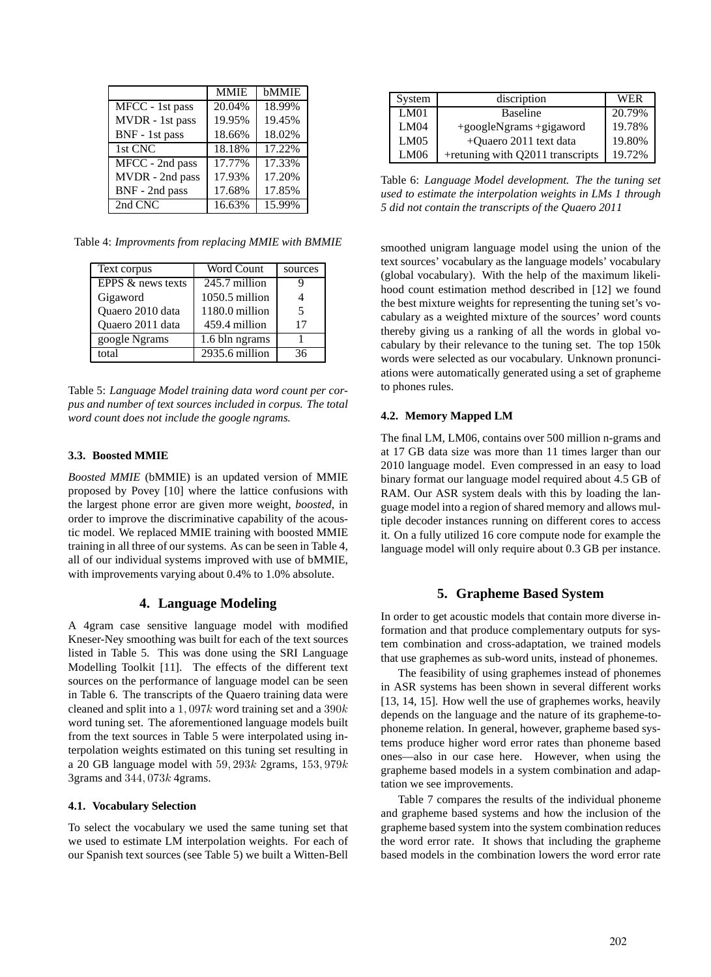|                        | <b>MMIE</b> | bMMIE  |
|------------------------|-------------|--------|
| MFCC - 1st pass        | 20.04%      | 18.99% |
| MVDR - 1st pass        | 19.95%      | 19.45% |
| BNF - 1st pass         | 18.66%      | 18.02% |
| 1st CNC                | 18.18%      | 17.22% |
| MFCC - 2nd pass        | 17.77%      | 17.33% |
| MVDR - 2nd pass        | 17.93%      | 17.20% |
| BNF - 2nd pass         | 17.68%      | 17.85% |
| $2nd$ $\overline{CNC}$ | 16.63%      | 15.99% |

Table 4: *Improvments from replacing MMIE with BMMIE*

| Text corpus       | Word Count     | sources |
|-------------------|----------------|---------|
| EPPS & news texts | 245.7 million  |         |
| Gigaword          | 1050.5 million |         |
| Quaero 2010 data  | 1180.0 million | 5       |
| Quaero 2011 data  | 459.4 million  | 17      |
| google Ngrams     | 1.6 bln ngrams |         |
| total             | 2935.6 million | 36      |

Table 5: *Language Model training data word count per corpus and number of text sources included in corpus. The total word count does not include the google ngrams.*

### **3.3. Boosted MMIE**

*Boosted MMIE* (bMMIE) is an updated version of MMIE proposed by Povey [10] where the lattice confusions with the largest phone error are given more weight, *boosted*, in order to improve the discriminative capability of the acoustic model. We replaced MMIE training with boosted MMIE training in all three of our systems. As can be seen in Table 4, all of our individual systems improved with use of bMMIE, with improvements varying about 0.4% to 1.0% absolute.

### **4. Language Modeling**

A 4gram case sensitive language model with modified Kneser-Ney smoothing was built for each of the text sources listed in Table 5. This was done using the SRI Language Modelling Toolkit [11]. The effects of the different text sources on the performance of language model can be seen in Table 6. The transcripts of the Quaero training data were cleaned and split into a 1,097k word training set and a 390k word tuning set. The aforementioned language models built from the text sources in Table 5 were interpolated using interpolation weights estimated on this tuning set resulting in a 20 GB language model with  $59,293k$  2grams,  $153,979k$ 3grams and 344, 073k 4grams.

### **4.1. Vocabulary Selection**

To select the vocabulary we used the same tuning set that we used to estimate LM interpolation weights. For each of our Spanish text sources (see Table 5) we built a Witten-Bell

| System | discription                      | <b>WER</b> |
|--------|----------------------------------|------------|
| LM01   | <b>Baseline</b>                  | 20.79%     |
| LM04   | +googleNgrams +gigaword          | 19.78%     |
| LM05   | +Quaero 2011 text data           | 19.80%     |
| LM06   | +retuning with Q2011 transcripts | 19.72%     |

Table 6: *Language Model development. The the tuning set used to estimate the interpolation weights in LMs 1 through 5 did not contain the transcripts of the Quaero 2011*

smoothed unigram language model using the union of the text sources' vocabulary as the language models' vocabulary (global vocabulary). With the help of the maximum likelihood count estimation method described in [12] we found the best mixture weights for representing the tuning set's vocabulary as a weighted mixture of the sources' word counts thereby giving us a ranking of all the words in global vocabulary by their relevance to the tuning set. The top 150k words were selected as our vocabulary. Unknown pronunciations were automatically generated using a set of grapheme to phones rules.

### **4.2. Memory Mapped LM**

The final LM, LM06, contains over 500 million n-grams and at 17 GB data size was more than 11 times larger than our 2010 language model. Even compressed in an easy to load binary format our language model required about 4.5 GB of RAM. Our ASR system deals with this by loading the language model into a region of shared memory and allows multiple decoder instances running on different cores to access it. On a fully utilized 16 core compute node for example the language model will only require about 0.3 GB per instance.

# **5. Grapheme Based System**

In order to get acoustic models that contain more diverse information and that produce complementary outputs for system combination and cross-adaptation, we trained models that use graphemes as sub-word units, instead of phonemes.

The feasibility of using graphemes instead of phonemes in ASR systems has been shown in several different works [13, 14, 15]. How well the use of graphemes works, heavily depends on the language and the nature of its grapheme-tophoneme relation. In general, however, grapheme based systems produce higher word error rates than phoneme based ones—also in our case here. However, when using the grapheme based models in a system combination and adaptation we see improvements.

Table 7 compares the results of the individual phoneme and grapheme based systems and how the inclusion of the grapheme based system into the system combination reduces the word error rate. It shows that including the grapheme based models in the combination lowers the word error rate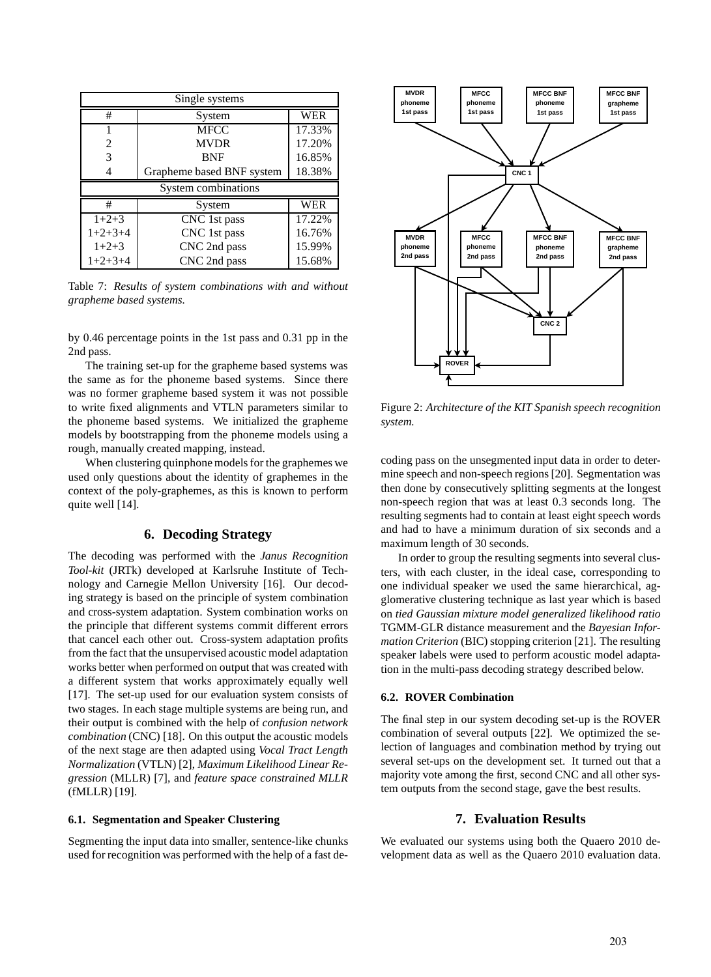| Single systems      |                           |        |  |
|---------------------|---------------------------|--------|--|
| #                   | System                    | WER    |  |
|                     | <b>MFCC</b>               | 17.33% |  |
| 2                   | <b>MVDR</b>               | 17.20% |  |
| 3                   | <b>BNF</b>                | 16.85% |  |
| 4                   | Grapheme based BNF system | 18.38% |  |
| System combinations |                           |        |  |
|                     |                           |        |  |
| #                   | System                    | WER    |  |
| $1+2+3$             | CNC 1st pass              | 17.22% |  |
| $1+2+3+4$           | CNC 1st pass              | 16.76% |  |
| $1+2+3$             | CNC 2nd pass              | 15.99% |  |

Table 7: *Results of system combinations with and without grapheme based systems.*

by 0.46 percentage points in the 1st pass and 0.31 pp in the 2nd pass.

The training set-up for the grapheme based systems was the same as for the phoneme based systems. Since there was no former grapheme based system it was not possible to write fixed alignments and VTLN parameters similar to the phoneme based systems. We initialized the grapheme models by bootstrapping from the phoneme models using a rough, manually created mapping, instead.

When clustering quinphone models for the graphemes we used only questions about the identity of graphemes in the context of the poly-graphemes, as this is known to perform quite well [14].

### **6. Decoding Strategy**

The decoding was performed with the *Janus Recognition Tool-kit* (JRTk) developed at Karlsruhe Institute of Technology and Carnegie Mellon University [16]. Our decoding strategy is based on the principle of system combination and cross-system adaptation. System combination works on the principle that different systems commit different errors that cancel each other out. Cross-system adaptation profits from the fact that the unsupervised acoustic model adaptation works better when performed on output that was created with a different system that works approximately equally well [17]. The set-up used for our evaluation system consists of two stages. In each stage multiple systems are being run, and their output is combined with the help of *confusion network combination* (CNC) [18]. On this output the acoustic models of the next stage are then adapted using *Vocal Tract Length Normalization* (VTLN) [2], *Maximum Likelihood Linear Regression* (MLLR) [7], and *feature space constrained MLLR* (fMLLR) [19].

### **6.1. Segmentation and Speaker Clustering**

Segmenting the input data into smaller, sentence-like chunks used for recognition was performed with the help of a fast de-



Figure 2: *Architecture of the KIT Spanish speech recognition system.*

coding pass on the unsegmented input data in order to determine speech and non-speech regions [20]. Segmentation was then done by consecutively splitting segments at the longest non-speech region that was at least 0.3 seconds long. The resulting segments had to contain at least eight speech words and had to have a minimum duration of six seconds and a maximum length of 30 seconds.

In order to group the resulting segments into several clusters, with each cluster, in the ideal case, corresponding to one individual speaker we used the same hierarchical, agglomerative clustering technique as last year which is based on *tied Gaussian mixture model generalized likelihood ratio* TGMM-GLR distance measurement and the *Bayesian Information Criterion* (BIC) stopping criterion [21]. The resulting speaker labels were used to perform acoustic model adaptation in the multi-pass decoding strategy described below.

#### **6.2. ROVER Combination**

The final step in our system decoding set-up is the ROVER combination of several outputs [22]. We optimized the selection of languages and combination method by trying out several set-ups on the development set. It turned out that a majority vote among the first, second CNC and all other system outputs from the second stage, gave the best results.

### **7. Evaluation Results**

We evaluated our systems using both the Quaero 2010 development data as well as the Quaero 2010 evaluation data.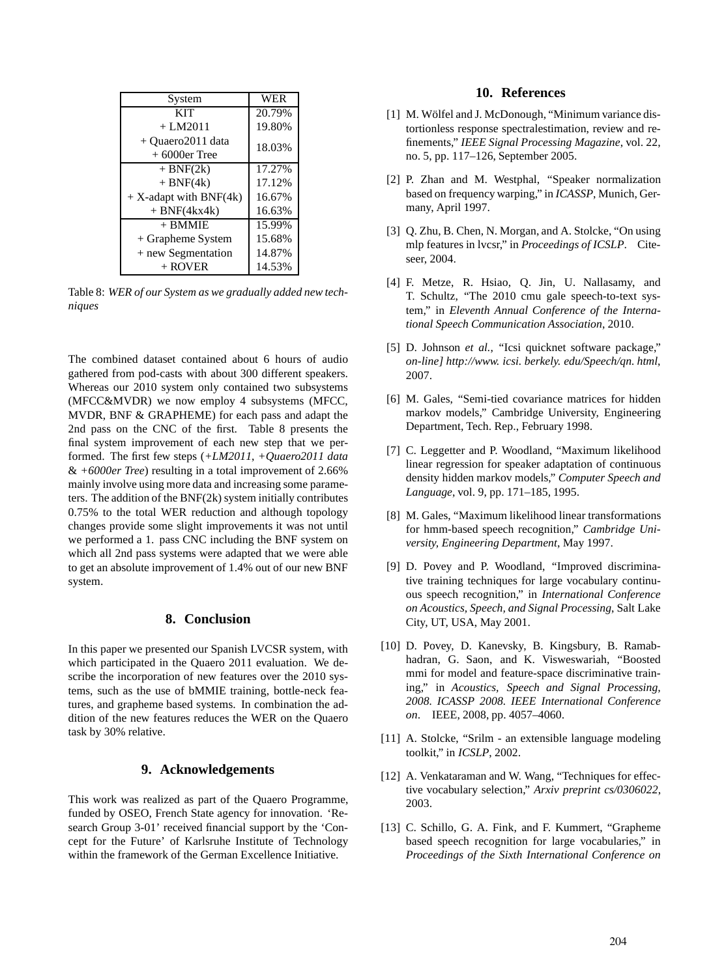| System                               | WER    |
|--------------------------------------|--------|
| <b>KIT</b>                           | 20.79% |
| $+LM2011$                            | 19.80% |
| + Quaero2011 data<br>$+6000$ er Tree | 18.03% |
| $+ BNF(2k)$                          | 17.27% |
| $+ BNF(4k)$                          | 17.12% |
| $+ X$ -adapt with BNF(4k)            | 16.67% |
| $+ BNF(4kx4k)$                       | 16.63% |
| $+$ BMMIE                            | 15.99% |
| + Grapheme System                    | 15.68% |
| + new Segmentation                   | 14.87% |
| $+$ ROVER                            | 14.53% |

Table 8: *WER of our System as we gradually added new techniques*

The combined dataset contained about 6 hours of audio gathered from pod-casts with about 300 different speakers. Whereas our 2010 system only contained two subsystems (MFCC&MVDR) we now employ 4 subsystems (MFCC, MVDR, BNF & GRAPHEME) for each pass and adapt the 2nd pass on the CNC of the first. Table 8 presents the final system improvement of each new step that we performed. The first few steps (*+LM2011*, *+Quaero2011 data* & *+6000er Tree*) resulting in a total improvement of 2.66% mainly involve using more data and increasing some parameters. The addition of the BNF(2k) system initially contributes 0.75% to the total WER reduction and although topology changes provide some slight improvements it was not until we performed a 1. pass CNC including the BNF system on which all 2nd pass systems were adapted that we were able to get an absolute improvement of 1.4% out of our new BNF system.

### **8. Conclusion**

In this paper we presented our Spanish LVCSR system, with which participated in the Quaero 2011 evaluation. We describe the incorporation of new features over the 2010 systems, such as the use of bMMIE training, bottle-neck features, and grapheme based systems. In combination the addition of the new features reduces the WER on the Quaero task by 30% relative.

# **9. Acknowledgements**

This work was realized as part of the Quaero Programme, funded by OSEO, French State agency for innovation. 'Research Group 3-01' received financial support by the 'Concept for the Future' of Karlsruhe Institute of Technology within the framework of the German Excellence Initiative.

### **10. References**

- [1] M. Wölfel and J. McDonough, "Minimum variance distortionless response spectralestimation, review and refinements," *IEEE Signal Processing Magazine*, vol. 22, no. 5, pp. 117–126, September 2005.
- [2] P. Zhan and M. Westphal, "Speaker normalization based on frequency warping," in *ICASSP*, Munich, Germany, April 1997.
- [3] O. Zhu, B. Chen, N. Morgan, and A. Stolcke, "On using mlp features in lvcsr," in *Proceedings of ICSLP*. Citeseer, 2004.
- [4] F. Metze, R. Hsiao, Q. Jin, U. Nallasamy, and T. Schultz, "The 2010 cmu gale speech-to-text system," in *Eleventh Annual Conference of the International Speech Communication Association*, 2010.
- [5] D. Johnson *et al.*, "Icsi quicknet software package," *on-line] http://www. icsi. berkely. edu/Speech/qn. html*, 2007.
- [6] M. Gales, "Semi-tied covariance matrices for hidden markov models," Cambridge University, Engineering Department, Tech. Rep., February 1998.
- [7] C. Leggetter and P. Woodland, "Maximum likelihood linear regression for speaker adaptation of continuous density hidden markov models," *Computer Speech and Language*, vol. 9, pp. 171–185, 1995.
- [8] M. Gales, "Maximum likelihood linear transformations for hmm-based speech recognition," *Cambridge University, Engineering Department*, May 1997.
- [9] D. Povey and P. Woodland, "Improved discriminative training techniques for large vocabulary continuous speech recognition," in *International Conference on Acoustics, Speech, and Signal Processing*, Salt Lake City, UT, USA, May 2001.
- [10] D. Povey, D. Kanevsky, B. Kingsbury, B. Ramabhadran, G. Saon, and K. Visweswariah, "Boosted mmi for model and feature-space discriminative training," in *Acoustics, Speech and Signal Processing, 2008. ICASSP 2008. IEEE International Conference on*. IEEE, 2008, pp. 4057–4060.
- [11] A. Stolcke, "Srilm an extensible language modeling toolkit," in *ICSLP*, 2002.
- [12] A. Venkataraman and W. Wang, "Techniques for effective vocabulary selection," *Arxiv preprint cs/0306022*, 2003.
- [13] C. Schillo, G. A. Fink, and F. Kummert, "Grapheme" based speech recognition for large vocabularies," in *Proceedings of the Sixth International Conference on*